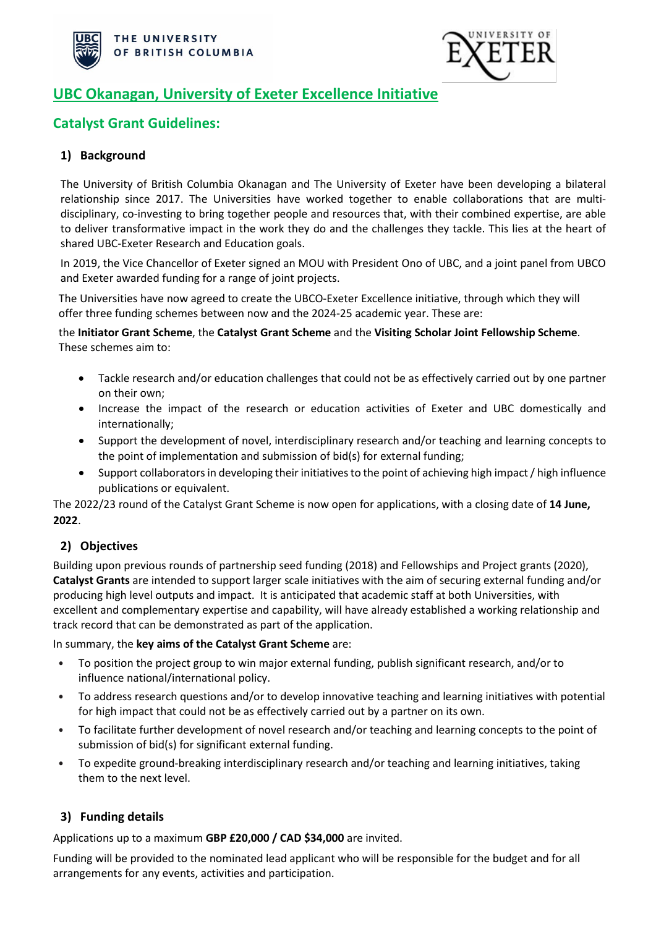



# **UBC Okanagan, University of Exeter Excellence Initiative**

# **Catalyst Grant Guidelines:**

## **1) Background**

The University of British Columbia Okanagan and The University of Exeter have been developing a bilateral relationship since 2017. The Universities have worked together to enable collaborations that are multidisciplinary, co-investing to bring together people and resources that, with their combined expertise, are able to deliver transformative impact in the work they do and the challenges they tackle. This lies at the heart of shared UBC-Exeter Research and Education goals.

In 2019, the Vice Chancellor of Exeter signed an MOU with President Ono of UBC, and a joint panel from UBCO and Exeter awarded funding for a range of joint projects.

The Universities have now agreed to create the UBCO-Exeter Excellence initiative, through which they will offer three funding schemes between now and the 2024-25 academic year. These are:

the **Initiator Grant Scheme**, the **Catalyst Grant Scheme** and the **Visiting Scholar Joint Fellowship Scheme**. These schemes aim to:

- Tackle research and/or education challenges that could not be as effectively carried out by one partner on their own;
- Increase the impact of the research or education activities of Exeter and UBC domestically and internationally;
- Support the development of novel, interdisciplinary research and/or teaching and learning concepts to the point of implementation and submission of bid(s) for external funding;
- Support collaborators in developing their initiatives to the point of achieving high impact / high influence publications or equivalent.

The 2022/23 round of the Catalyst Grant Scheme is now open for applications, with a closing date of **14 June, 2022**.

## **2) Objectives**

Building upon previous rounds of partnership seed funding (2018) and Fellowships and Project grants (2020), **Catalyst Grants** are intended to support larger scale initiatives with the aim of securing external funding and/or producing high level outputs and impact. It is anticipated that academic staff at both Universities, with excellent and complementary expertise and capability, will have already established a working relationship and track record that can be demonstrated as part of the application.

In summary, the **key aims of the Catalyst Grant Scheme** are:

- To position the project group to win major external funding, publish significant research, and/or to influence national/international policy.
- To address research questions and/or to develop innovative teaching and learning initiatives with potential for high impact that could not be as effectively carried out by a partner on its own.
- To facilitate further development of novel research and/or teaching and learning concepts to the point of submission of bid(s) for significant external funding.
- To expedite ground-breaking interdisciplinary research and/or teaching and learning initiatives, taking them to the next level.

## **3) Funding details**

Applications up to a maximum **GBP £20,000 / CAD \$34,000** are invited.

Funding will be provided to the nominated lead applicant who will be responsible for the budget and for all arrangements for any events, activities and participation.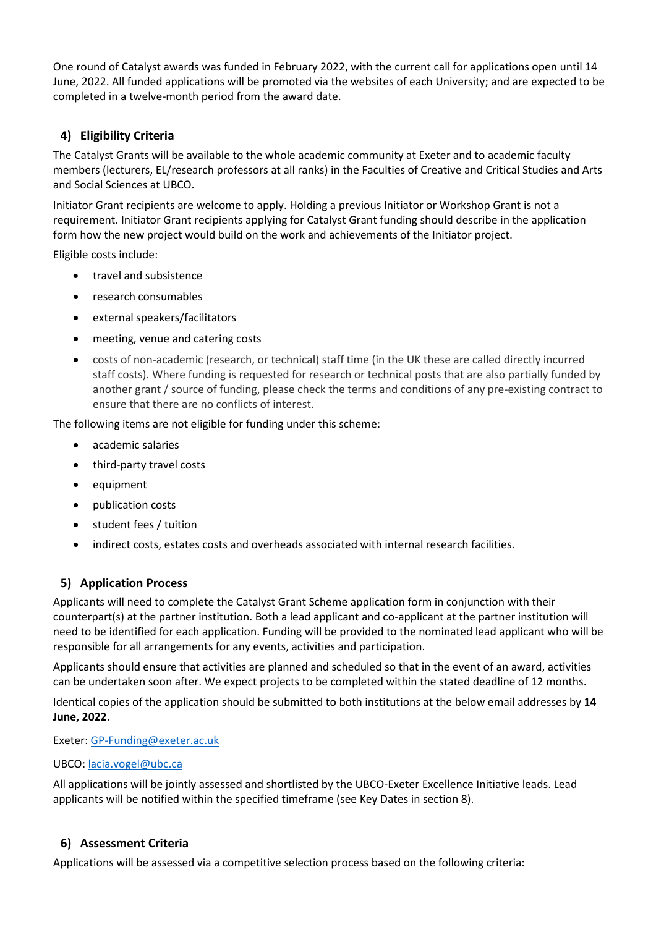One round of Catalyst awards was funded in February 2022, with the current call for applications open until 14 June, 2022. All funded applications will be promoted via the websites of each University; and are expected to be completed in a twelve-month period from the award date.

## **4) Eligibility Criteria**

The Catalyst Grants will be available to the whole academic community at Exeter and to academic faculty members (lecturers, EL/research professors at all ranks) in the Faculties of Creative and Critical Studies and Arts and Social Sciences at UBCO.

Initiator Grant recipients are welcome to apply. Holding a previous Initiator or Workshop Grant is not a requirement. Initiator Grant recipients applying for Catalyst Grant funding should describe in the application form how the new project would build on the work and achievements of the Initiator project.

Eligible costs include:

- travel and subsistence
- research consumables
- external speakers/facilitators
- meeting, venue and catering costs
- costs of non-academic (research, or technical) staff time (in the UK these are called directly incurred staff costs). Where funding is requested for research or technical posts that are also partially funded by another grant / source of funding, please check the terms and conditions of any pre-existing contract to ensure that there are no conflicts of interest.

The following items are not eligible for funding under this scheme:

- academic salaries
- third-party travel costs
- equipment
- publication costs
- student fees / tuition
- indirect costs, estates costs and overheads associated with internal research facilities.

## **5) Application Process**

Applicants will need to complete the Catalyst Grant Scheme application form in conjunction with their counterpart(s) at the partner institution. Both a lead applicant and co-applicant at the partner institution will need to be identified for each application. Funding will be provided to the nominated lead applicant who will be responsible for all arrangements for any events, activities and participation.

Applicants should ensure that activities are planned and scheduled so that in the event of an award, activities can be undertaken soon after. We expect projects to be completed within the stated deadline of 12 months.

Identical copies of the application should be submitted to both institutions at the below email addresses by **14 June, 2022**.

Exeter: [GP-Funding@exeter.ac.uk](mailto:GP-Funding@exeter.ac.uk) 

#### UBCO: [lacia.vogel@ubc.ca](mailto:lacia.vogel@ubc.ca)

All applications will be jointly assessed and shortlisted by the UBCO-Exeter Excellence Initiative leads. Lead applicants will be notified within the specified timeframe (see Key Dates in section 8).

## **6) Assessment Criteria**

Applications will be assessed via a competitive selection process based on the following criteria: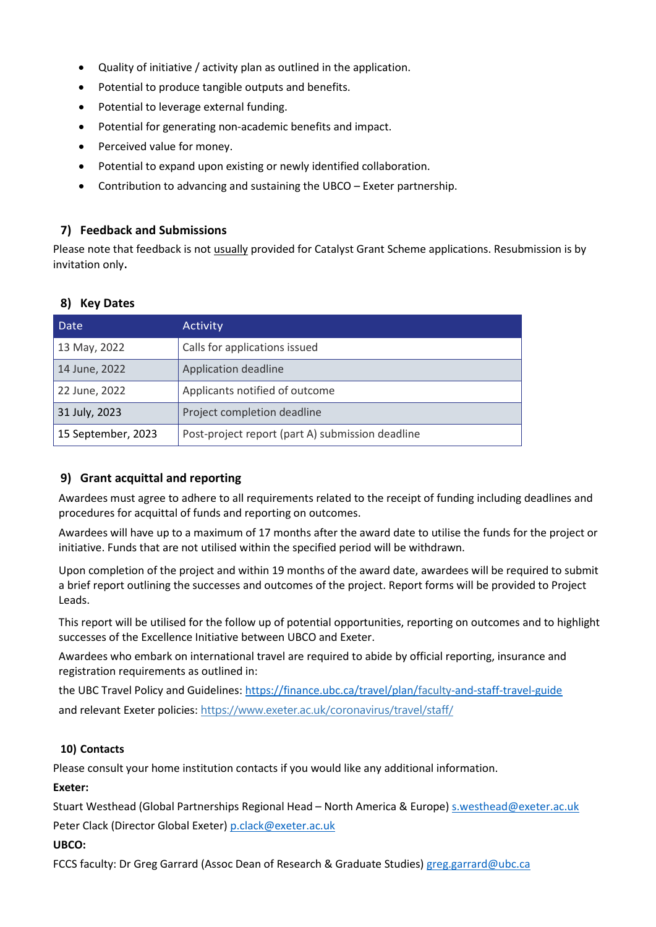- Quality of initiative / activity plan as outlined in the application.
- Potential to produce tangible outputs and benefits.
- Potential to leverage external funding.
- Potential for generating non-academic benefits and impact.
- Perceived value for money.
- Potential to expand upon existing or newly identified collaboration.
- Contribution to advancing and sustaining the UBCO Exeter partnership.

#### **7) Feedback and Submissions**

Please note that feedback is not usually provided for Catalyst Grant Scheme applications. Resubmission is by invitation only.

## **8) Key Dates**

| Date               | Activity                                         |  |
|--------------------|--------------------------------------------------|--|
| 13 May, 2022       | Calls for applications issued                    |  |
| 14 June, 2022      | Application deadline                             |  |
| 22 June, 2022      | Applicants notified of outcome                   |  |
| 31 July, 2023      | Project completion deadline                      |  |
| 15 September, 2023 | Post-project report (part A) submission deadline |  |

## **9) Grant acquittal and reporting**

Awardees must agree to adhere to all requirements related to the receipt of funding including deadlines and procedures for acquittal of funds and reporting on outcomes.

Awardees will have up to a maximum of 17 months after the award date to utilise the funds for the project or initiative. Funds that are not utilised within the specified period will be withdrawn.

Upon completion of the project and within 19 months of the award date, awardees will be required to submit a brief report outlining the successes and outcomes of the project. Report forms will be provided to Project Leads.

This report will be utilised for the follow up of potential opportunities, reporting on outcomes and to highlight successes of the Excellence Initiative between UBCO and Exeter.

Awardees who embark on international travel are required to abide by official reporting, insurance and registration requirements as outlined in:

the UBC Travel Policy and Guidelines[: https://finance.ubc.ca/travel/plan/faculty-and-staff-travel-guide](https://finance.ubc.ca/travel/plan/faculty-and-staff-travel-guide) and relevant Exeter policies: <https://www.exeter.ac.uk/coronavirus/travel/staff/>

#### **10) Contacts**

Please consult your home institution contacts if you would like any additional information.

#### **Exeter:**

Stuart Westhead (Global Partnerships Regional Head – North America & Europe) [s.westhead@exeter.ac.uk](mailto:s.westhead@exeter.ac.uk)  Peter Clack (Director Global Exeter) [p.clack@exeter.ac.uk](mailto:p.clack@exeter.ac.uk) 

#### **UBCO:**

FCCS faculty: Dr Greg Garrard (Assoc Dean of Research & Graduate Studies) [greg.garrard@ubc.ca](mailto:greg.garrard@ubc.ca)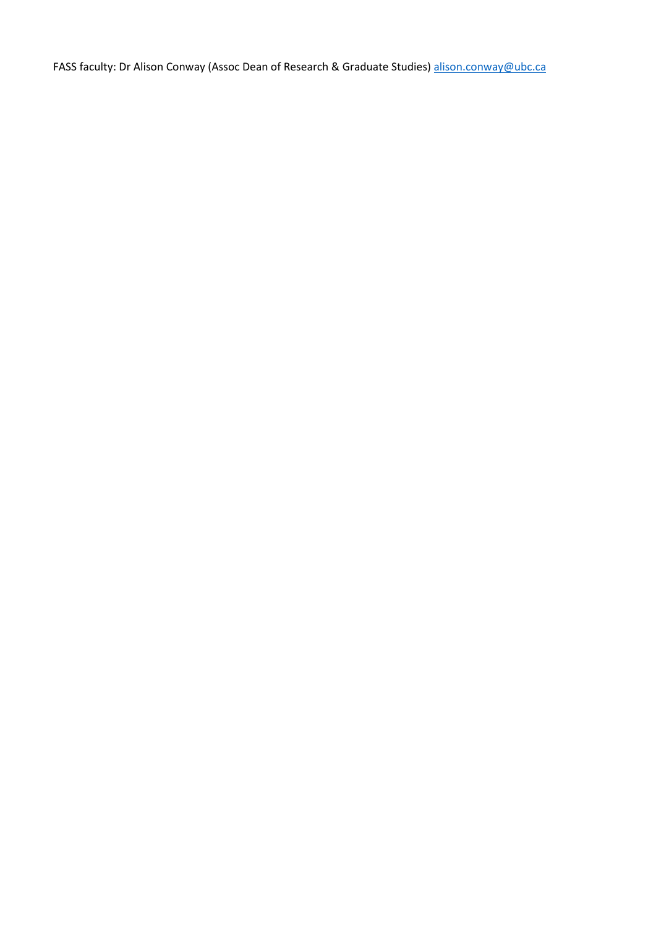FASS faculty: Dr Alison Conway (Assoc Dean of Research & Graduate Studies[\) alison.conway@ubc.ca](mailto:alison.conway@ubc.ca)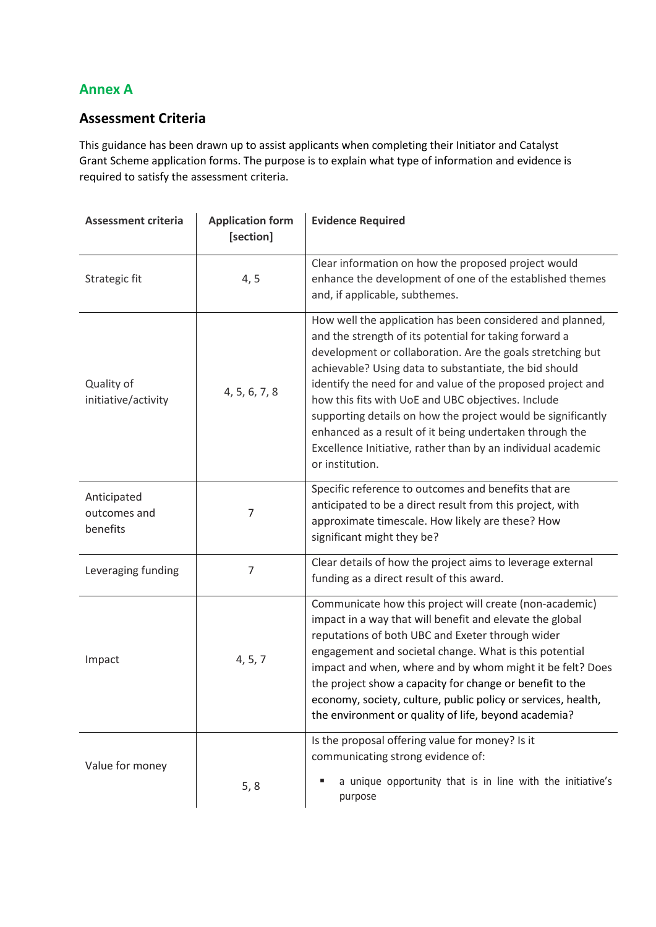# **Annex A**

# **Assessment Criteria**

This guidance has been drawn up to assist applicants when completing their Initiator and Catalyst Grant Scheme application forms. The purpose is to explain what type of information and evidence is required to satisfy the assessment criteria.

| <b>Assessment criteria</b>              | <b>Application form</b><br>[section] | <b>Evidence Required</b>                                                                                                                                                                                                                                                                                                                                                                                                                                                                                                                                                       |
|-----------------------------------------|--------------------------------------|--------------------------------------------------------------------------------------------------------------------------------------------------------------------------------------------------------------------------------------------------------------------------------------------------------------------------------------------------------------------------------------------------------------------------------------------------------------------------------------------------------------------------------------------------------------------------------|
| Strategic fit                           | 4, 5                                 | Clear information on how the proposed project would<br>enhance the development of one of the established themes<br>and, if applicable, subthemes.                                                                                                                                                                                                                                                                                                                                                                                                                              |
| Quality of<br>initiative/activity       | 4, 5, 6, 7, 8                        | How well the application has been considered and planned,<br>and the strength of its potential for taking forward a<br>development or collaboration. Are the goals stretching but<br>achievable? Using data to substantiate, the bid should<br>identify the need for and value of the proposed project and<br>how this fits with UoE and UBC objectives. Include<br>supporting details on how the project would be significantly<br>enhanced as a result of it being undertaken through the<br>Excellence Initiative, rather than by an individual academic<br>or institution. |
| Anticipated<br>outcomes and<br>benefits | 7                                    | Specific reference to outcomes and benefits that are<br>anticipated to be a direct result from this project, with<br>approximate timescale. How likely are these? How<br>significant might they be?                                                                                                                                                                                                                                                                                                                                                                            |
| Leveraging funding                      | 7                                    | Clear details of how the project aims to leverage external<br>funding as a direct result of this award.                                                                                                                                                                                                                                                                                                                                                                                                                                                                        |
| Impact                                  | 4, 5, 7                              | Communicate how this project will create (non-academic)<br>impact in a way that will benefit and elevate the global<br>reputations of both UBC and Exeter through wider<br>engagement and societal change. What is this potential<br>impact and when, where and by whom might it be felt? Does<br>the project show a capacity for change or benefit to the<br>economy, society, culture, public policy or services, health,<br>the environment or quality of life, beyond academia?                                                                                            |
| Value for money                         | 5, 8                                 | Is the proposal offering value for money? Is it<br>communicating strong evidence of:<br>a unique opportunity that is in line with the initiative's<br>purpose                                                                                                                                                                                                                                                                                                                                                                                                                  |